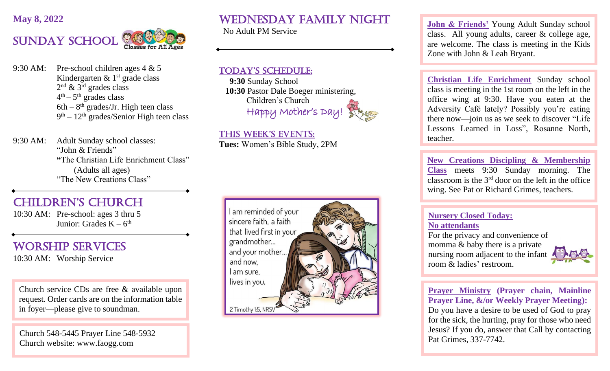### **May 8, 2022**



9:30 AM: Pre-school children ages 4 & 5 Kindergarten  $\&$  1<sup>st</sup> grade class  $2<sup>nd</sup>$  & 3<sup>rd</sup> grades class  $4<sup>th</sup> - 5<sup>th</sup>$  grades class  $6th - 8<sup>th</sup>$  grades/Jr. High teen class 9<sup>th</sup> – 12<sup>th</sup> grades/Senior High teen class

9:30 AM: Adult Sunday school classes: "John & Friends" **"**The Christian Life Enrichment Class" (Adults all ages) "The New Creations Class"

# CHILDREN'S CHURCH

10:30 AM: Pre-school: ages 3 thru 5 Junior: Grades  $K - 6<sup>th</sup>$ 

## Worship SERVICES

10:30 AM: Worship Service

ì

Church service CDs are free & available upon request. Order cards are on the information table in foyer—please give to soundman.

 $\frac{1}{6}$ Church 548-5445 Prayer Line 548-5932 Church website: www.faogg.com

Wednesday Family night

No Adult PM Service

## TODAY'S SCHEDULE:

 **9:30** Sunday School  **10:30** Pastor Dale Boeger ministering, Children's Church Happy Mother's Day!



 THIS WEEK'S EVENTS: **Tues:** Women's Bible Study, 2PM



**John & Friends'** Young Adult Sunday school class. All young adults, career & college age, are welcome. The class is meeting in the Kids Zone with John & Leah Bryant.

**Christian Life Enrichment** Sunday school class is meeting in the 1st room on the left in the office wing at 9:30. Have you eaten at the Adversity Café lately? Possibly you're eating there now—join us as we seek to discover "Life Lessons Learned in Loss", Rosanne North, teacher.

**New Creations Discipling & Membership Class** meets 9:30 Sunday morning. The classroom is the 3rd door on the left in the office wing. See Pat or Richard Grimes, teachers.

#### **Nursery Closed Today: No attendants**

For the privacy and convenience of momma & baby there is a private nursing room adjacent to the infant room & ladies' restroom.



**Prayer Ministry (Prayer chain, Mainline Prayer Line, &/or Weekly Prayer Meeting):** Do you have a desire to be used of God to pray for the sick, the hurting, pray for those who need Jesus? If you do, answer that Call by contacting Pat Grimes, 337-7742.